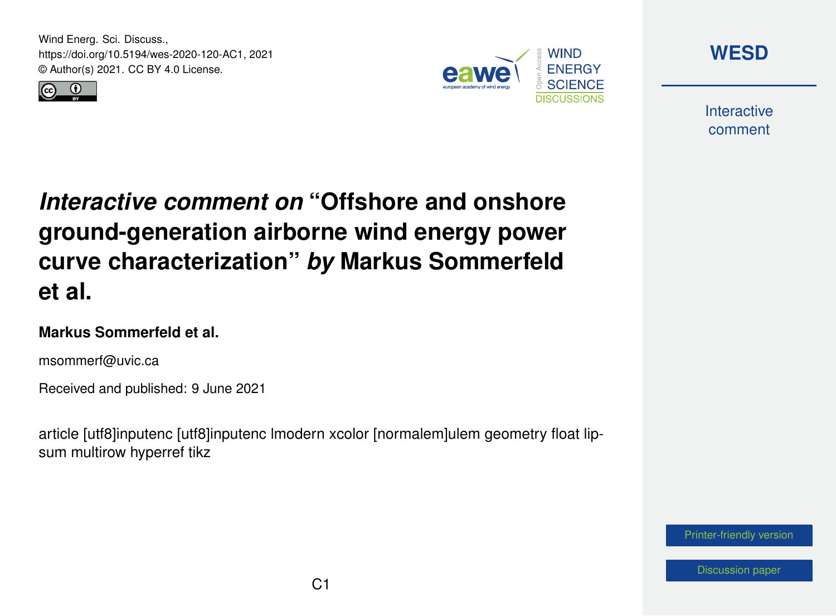Wind Energ. Sci. Discuss., https://doi.org/10.5194/wes-2020-120-AC1, 2021 © Author(s) 2021. CC BY 4.0 License.





**[WESD](https://wes.copernicus.org/preprints/)**

**Interactive** comment

# *Interactive comment on* **"Offshore and onshore ground-generation airborne wind energy power curve characterization"** *by* **Markus Sommerfeld et al.**

#### **Markus Sommerfeld et al.**

msommerf@uvic.ca

Received and published: 9 June 2021

article [utf8]inputenc [utf8]inputenc lmodern xcolor [normalem]ulem geometry float lipsum multirow hyperref tikz

[Printer-friendly version](https://wes.copernicus.org/preprints/wes-2020-120/wes-2020-120-AC1-print.pdf)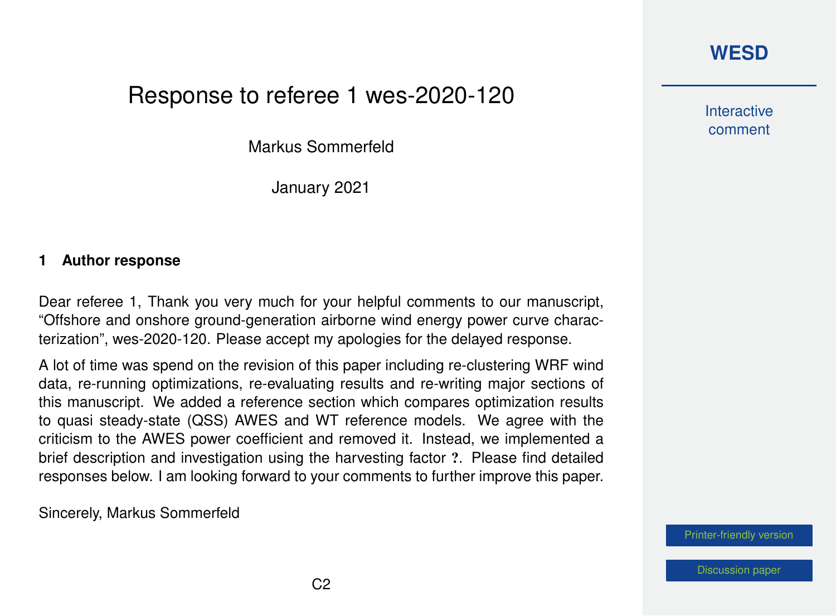#### **[WESD](https://wes.copernicus.org/preprints/)**

## Response to referee 1 wes-2020-120

Markus Sommerfeld

January 2021

#### **1 Author response**

Dear referee 1, Thank you very much for your helpful comments to our manuscript, "Offshore and onshore ground-generation airborne wind energy power curve characterization", wes-2020-120. Please accept my apologies for the delayed response.

A lot of time was spend on the revision of this paper including re-clustering WRF wind data, re-running optimizations, re-evaluating results and re-writing major sections of this manuscript. We added a reference section which compares optimization results to quasi steady-state (QSS) AWES and WT reference models. We agree with the criticism to the AWES power coefficient and removed it. Instead, we implemented a brief description and investigation using the harvesting factor ?. Please find detailed responses below. I am looking forward to your comments to further improve this paper.

Sincerely, Markus Sommerfeld

**Interactive** comment

[Printer-friendly version](https://wes.copernicus.org/preprints/wes-2020-120/wes-2020-120-AC1-print.pdf)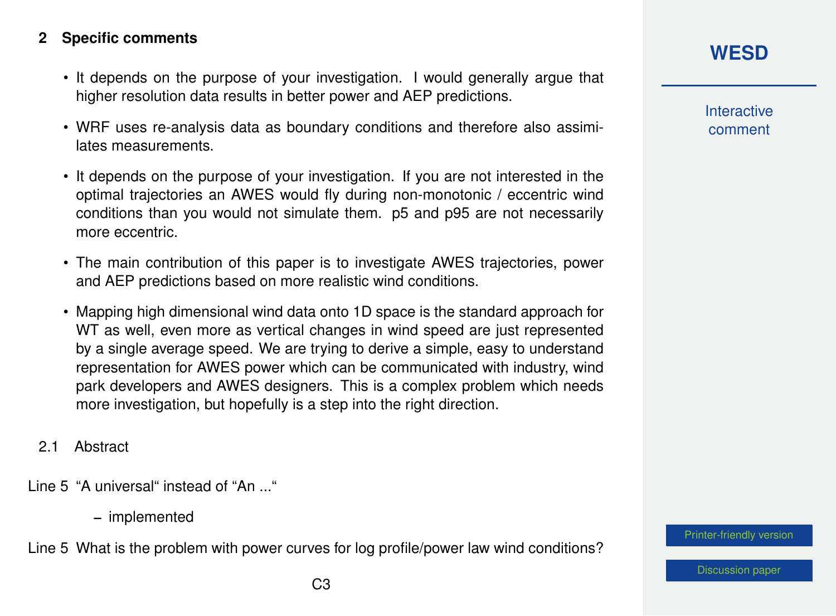#### **2 Specific comments**

- It depends on the purpose of your investigation. I would generally argue that higher resolution data results in better power and AEP predictions.
- WRF uses re-analysis data as boundary conditions and therefore also assimilates measurements.
- It depends on the purpose of your investigation. If you are not interested in the optimal trajectories an AWES would fly during non-monotonic / eccentric wind conditions than you would not simulate them. p5 and p95 are not necessarily more eccentric.
- The main contribution of this paper is to investigate AWES trajectories, power and AEP predictions based on more realistic wind conditions.
- Mapping high dimensional wind data onto 1D space is the standard approach for WT as well, even more as vertical changes in wind speed are just represented by a single average speed. We are trying to derive a simple, easy to understand representation for AWES power which can be communicated with industry, wind park developers and AWES designers. This is a complex problem which needs more investigation, but hopefully is a step into the right direction.
- 2.1 Abstract

Line 5 "A universal" instead of "An ..."

– implemented

Line 5 What is the problem with power curves for log profile/power law wind conditions?

**Interactive** comment

[Printer-friendly version](https://wes.copernicus.org/preprints/wes-2020-120/wes-2020-120-AC1-print.pdf)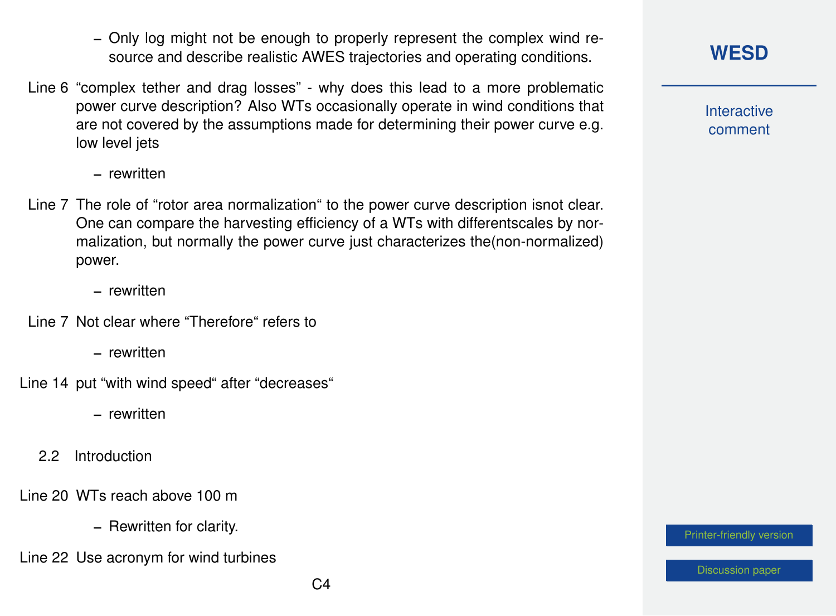- Only log might not be enough to properly represent the complex wind resource and describe realistic AWES trajectories and operating conditions.
- Line 6 "complex tether and drag losses" why does this lead to a more problematic power curve description? Also WTs occasionally operate in wind conditions that are not covered by the assumptions made for determining their power curve e.g. low level jets

– rewritten

- Line 7 The role of "rotor area normalization" to the power curve description isnot clear. One can compare the harvesting efficiency of a WTs with differentscales by normalization, but normally the power curve just characterizes the(non-normalized) power.
	- rewritten
- Line 7 Not clear where "Therefore" refers to
	- rewritten
- Line 14 put "with wind speed" after "decreases"
	- rewritten
	- 2.2 Introduction

Line 20 WTs reach above 100 m

- Rewritten for clarity.
- Line 22 Use acronym for wind turbines

**Interactive** comment

[Printer-friendly version](https://wes.copernicus.org/preprints/wes-2020-120/wes-2020-120-AC1-print.pdf)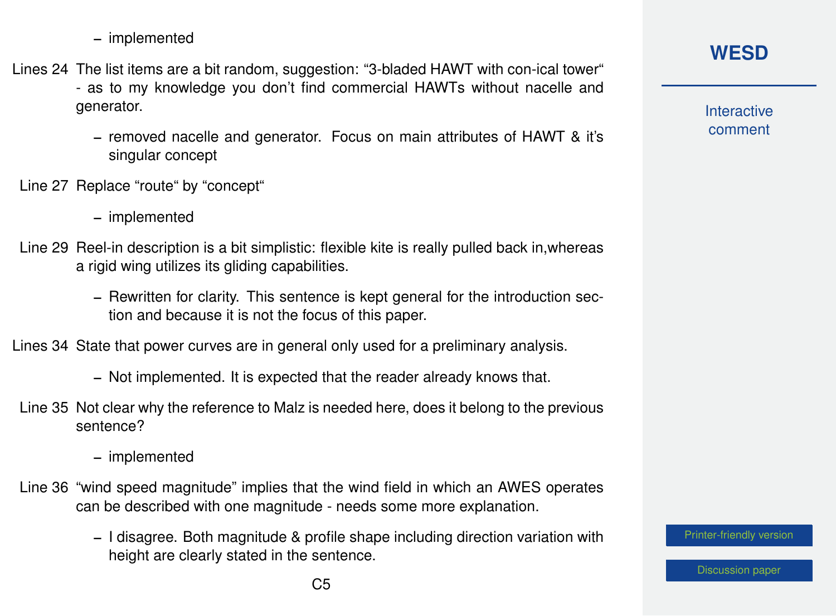– implemented

Lines 24 The list items are a bit random, suggestion: "3-bladed HAWT with con-ical tower" - as to my knowledge you don't find commercial HAWTs without nacelle and generator.

- removed nacelle and generator. Focus on main attributes of HAWT & it's singular concept
- Line 27 Replace "route" by "concept"
	- implemented
- Line 29 Reel-in description is a bit simplistic: flexible kite is really pulled back in,whereas a rigid wing utilizes its gliding capabilities.
	- Rewritten for clarity. This sentence is kept general for the introduction section and because it is not the focus of this paper.

Lines 34 State that power curves are in general only used for a preliminary analysis.

- Not implemented. It is expected that the reader already knows that.
- Line 35 Not clear why the reference to Malz is needed here, does it belong to the previous sentence?

– implemented

- Line 36 "wind speed magnitude" implies that the wind field in which an AWES operates can be described with one magnitude - needs some more explanation.
	- I disagree. Both magnitude & profile shape including direction variation with height are clearly stated in the sentence.

#### **[WESD](https://wes.copernicus.org/preprints/)**

**Interactive** comment

[Printer-friendly version](https://wes.copernicus.org/preprints/wes-2020-120/wes-2020-120-AC1-print.pdf)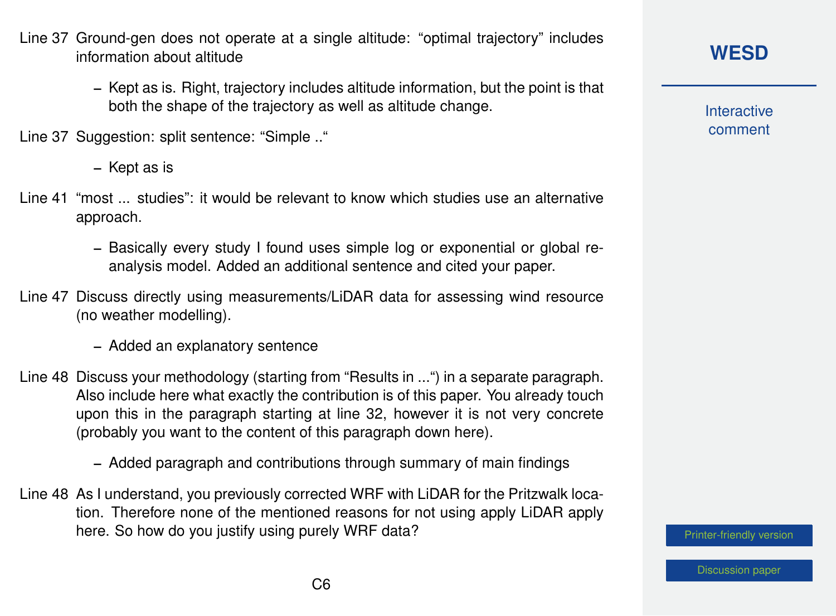- Line 37 Ground-gen does not operate at a single altitude: "optimal trajectory" includes information about altitude
	- Kept as is. Right, trajectory includes altitude information, but the point is that both the shape of the trajectory as well as altitude change.

Line 37 Suggestion: split sentence: "Simple .."

- Kept as is
- Line 41 "most ... studies": it would be relevant to know which studies use an alternative approach.
	- Basically every study I found uses simple log or exponential or global reanalysis model. Added an additional sentence and cited your paper.
- Line 47 Discuss directly using measurements/LiDAR data for assessing wind resource (no weather modelling).
	- Added an explanatory sentence
- Line 48 Discuss your methodology (starting from "Results in ...") in a separate paragraph. Also include here what exactly the contribution is of this paper. You already touch upon this in the paragraph starting at line 32, however it is not very concrete (probably you want to the content of this paragraph down here).
	- Added paragraph and contributions through summary of main findings
- Line 48 As I understand, you previously corrected WRF with LiDAR for the Pritzwalk location. Therefore none of the mentioned reasons for not using apply LiDAR apply here. So how do you justify using purely WRF data?

**[WESD](https://wes.copernicus.org/preprints/)**

**Interactive** comment

[Printer-friendly version](https://wes.copernicus.org/preprints/wes-2020-120/wes-2020-120-AC1-print.pdf)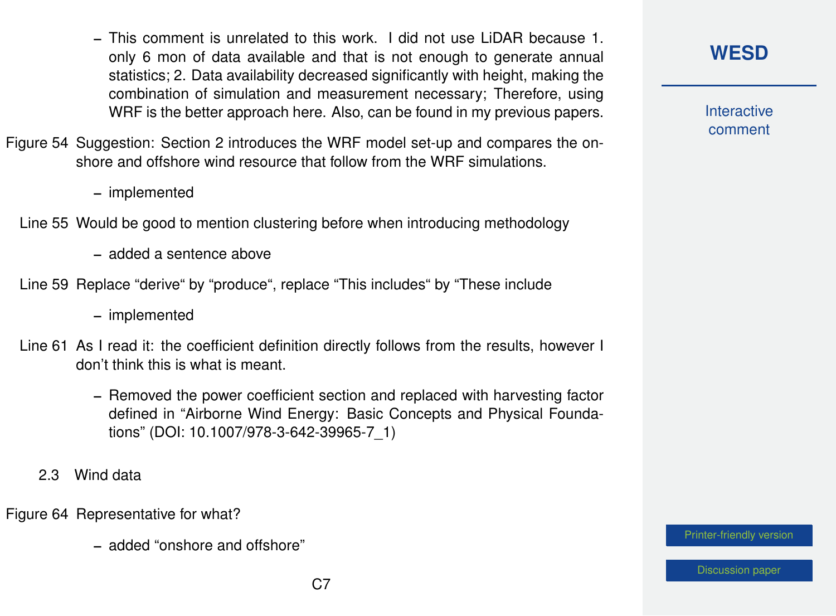- This comment is unrelated to this work. I did not use LiDAR because 1. only 6 mon of data available and that is not enough to generate annual statistics; 2. Data availability decreased significantly with height, making the combination of simulation and measurement necessary; Therefore, using WRF is the better approach here. Also, can be found in my previous papers.
- Figure 54 Suggestion: Section 2 introduces the WRF model set-up and compares the onshore and offshore wind resource that follow from the WRF simulations.
	- implemented
	- Line 55 Would be good to mention clustering before when introducing methodology
		- added a sentence above
	- Line 59 Replace "derive" by "produce", replace "This includes" by "These include
		- implemented
	- Line 61 As I read it: the coefficient definition directly follows from the results, however I don't think this is what is meant.
		- Removed the power coefficient section and replaced with harvesting factor defined in "Airborne Wind Energy: Basic Concepts and Physical Foundations" (DOI: 10.1007/978-3-642-39965-7\_1)
		- 2.3 Wind data
- Figure 64 Representative for what?
	- added "onshore and offshore"

**Interactive** comment

[Printer-friendly version](https://wes.copernicus.org/preprints/wes-2020-120/wes-2020-120-AC1-print.pdf)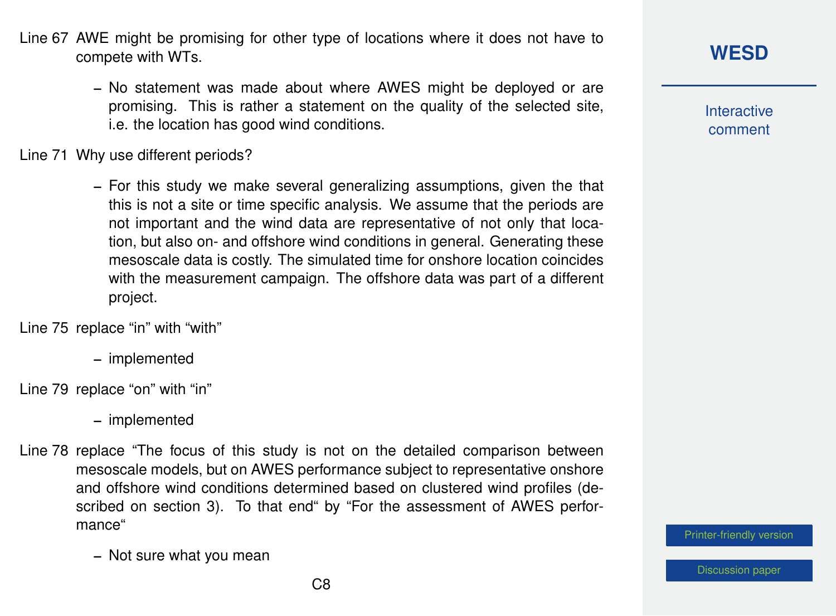- Line 67 AWE might be promising for other type of locations where it does not have to compete with WTs.
	- No statement was made about where AWES might be deployed or are promising. This is rather a statement on the quality of the selected site, i.e. the location has good wind conditions.

Line 71 Why use different periods?

– For this study we make several generalizing assumptions, given the that this is not a site or time specific analysis. We assume that the periods are not important and the wind data are representative of not only that location, but also on- and offshore wind conditions in general. Generating these mesoscale data is costly. The simulated time for onshore location coincides with the measurement campaign. The offshore data was part of a different project.

Line 75 replace "in" with "with"

– implemented

Line 79 replace "on" with "in"

– implemented

Line 78 replace "The focus of this study is not on the detailed comparison between mesoscale models, but on AWES performance subject to representative onshore and offshore wind conditions determined based on clustered wind profiles (described on section 3). To that end" by "For the assessment of AWES performance"

– Not sure what you mean

#### **[WESD](https://wes.copernicus.org/preprints/)**

**Interactive** comment

[Printer-friendly version](https://wes.copernicus.org/preprints/wes-2020-120/wes-2020-120-AC1-print.pdf)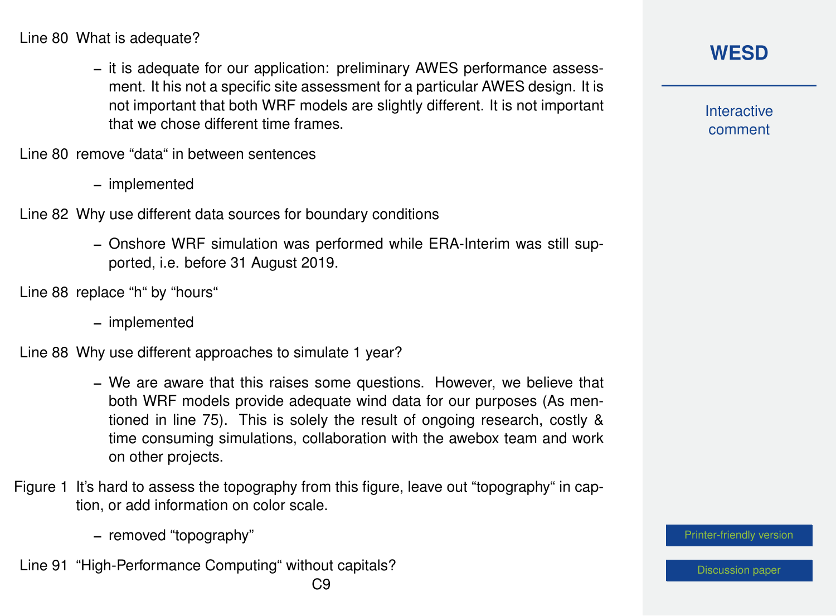Line 80 What is adequate?

– it is adequate for our application: preliminary AWES performance assessment. It his not a specific site assessment for a particular AWES design. It is not important that both WRF models are slightly different. It is not important that we chose different time frames.

Line 80 remove "data" in between sentences

– implemented

Line 82 Why use different data sources for boundary conditions

- Onshore WRF simulation was performed while ERA-Interim was still supported, i.e. before 31 August 2019.
- Line 88 replace "h" by "hours"
	- implemented

Line 88 Why use different approaches to simulate 1 year?

- We are aware that this raises some questions. However, we believe that both WRF models provide adequate wind data for our purposes (As mentioned in line 75). This is solely the result of ongoing research, costly & time consuming simulations, collaboration with the awebox team and work on other projects.
- Figure 1 It's hard to assess the topography from this figure, leave out "topography" in caption, or add information on color scale.
	- removed "topography"
- Line 91 "High-Performance Computing" without capitals?

**Interactive** comment

[Printer-friendly version](https://wes.copernicus.org/preprints/wes-2020-120/wes-2020-120-AC1-print.pdf)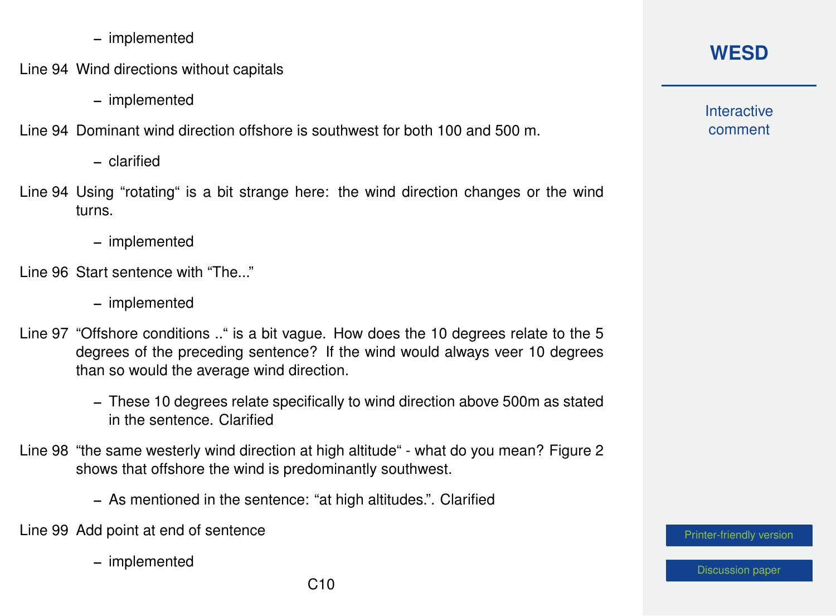- implemented
- Line 94 Wind directions without capitals
	- implemented

Line 94 Dominant wind direction offshore is southwest for both 100 and 500 m.

- clarified
- Line 94 Using "rotating" is a bit strange here: the wind direction changes or the wind turns.
	- implemented
- Line 96 Start sentence with "The..."
	- implemented
- Line 97 "Offshore conditions .." is a bit vague. How does the 10 degrees relate to the 5 degrees of the preceding sentence? If the wind would always veer 10 degrees than so would the average wind direction.
	- These 10 degrees relate specifically to wind direction above 500m as stated in the sentence. Clarified
- Line 98 "the same westerly wind direction at high altitude" what do you mean? Figure 2 shows that offshore the wind is predominantly southwest.
	- As mentioned in the sentence: "at high altitudes.". Clarified
- Line 99 Add point at end of sentence
	- implemented

## **[WESD](https://wes.copernicus.org/preprints/)**

**Interactive** comment

[Printer-friendly version](https://wes.copernicus.org/preprints/wes-2020-120/wes-2020-120-AC1-print.pdf)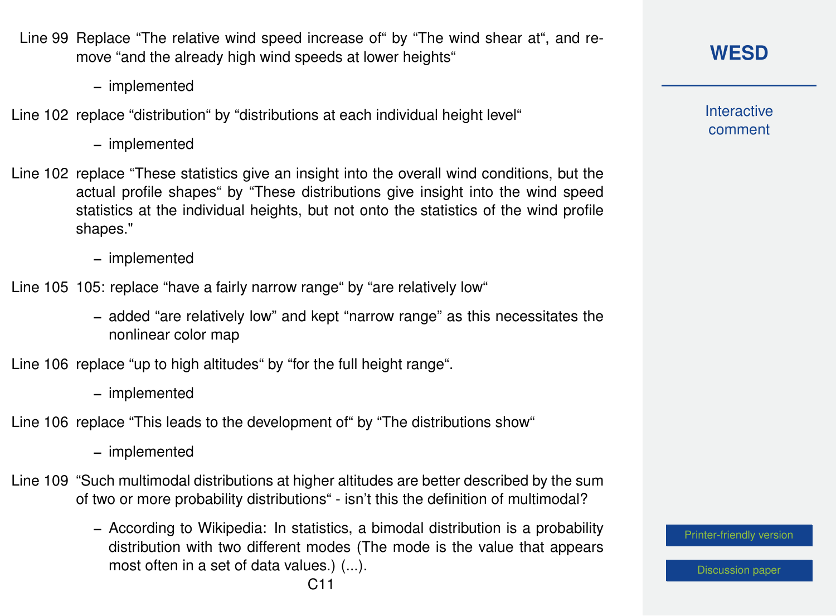

– implemented

Line 102 replace "distribution" by "distributions at each individual height level"

– implemented

- Line 102 replace "These statistics give an insight into the overall wind conditions, but the actual profile shapes" by "These distributions give insight into the wind speed statistics at the individual heights, but not onto the statistics of the wind profile shapes."
	- implemented

Line 105 105: replace "have a fairly narrow range" by "are relatively low"

– added "are relatively low" and kept "narrow range" as this necessitates the nonlinear color map

Line 106 replace "up to high altitudes" by "for the full height range".

– implemented

Line 106 replace "This leads to the development of" by "The distributions show"

– implemented

- Line 109 "Such multimodal distributions at higher altitudes are better described by the sum of two or more probability distributions" - isn't this the definition of multimodal?
	- According to Wikipedia: In statistics, a bimodal distribution is a probability distribution with two different modes (The mode is the value that appears most often in a set of data values.) (...).

**Interactive** comment

[Printer-friendly version](https://wes.copernicus.org/preprints/wes-2020-120/wes-2020-120-AC1-print.pdf)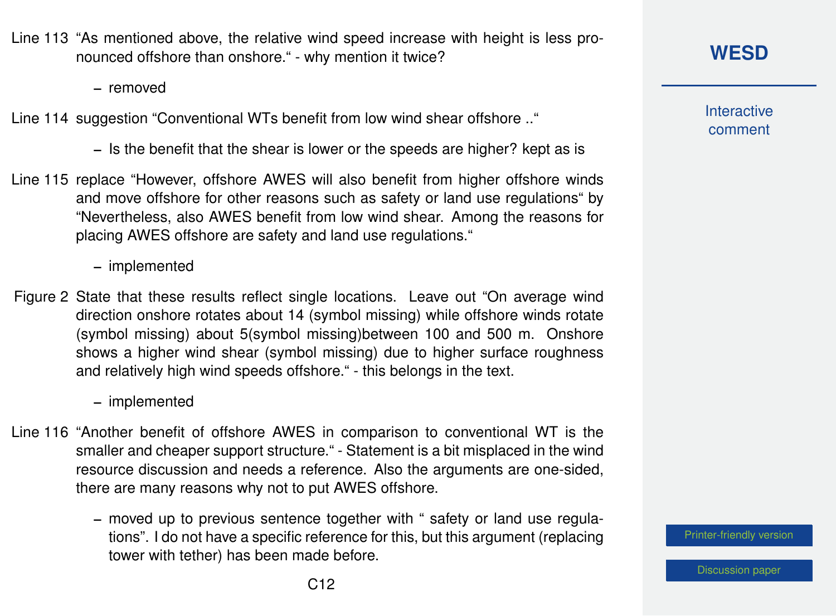Line 113 "As mentioned above, the relative wind speed increase with height is less pronounced offshore than onshore." - why mention it twice?

– removed

Line 114 suggestion "Conventional WTs benefit from low wind shear offshore .."

– Is the benefit that the shear is lower or the speeds are higher? kept as is

Line 115 replace "However, offshore AWES will also benefit from higher offshore winds and move offshore for other reasons such as safety or land use regulations" by "Nevertheless, also AWES benefit from low wind shear. Among the reasons for placing AWES offshore are safety and land use regulations."

– implemented

Figure 2 State that these results reflect single locations. Leave out "On average wind direction onshore rotates about 14 (symbol missing) while offshore winds rotate (symbol missing) about 5(symbol missing)between 100 and 500 m. Onshore shows a higher wind shear (symbol missing) due to higher surface roughness and relatively high wind speeds offshore." - this belongs in the text.

– implemented

- Line 116 "Another benefit of offshore AWES in comparison to conventional WT is the smaller and cheaper support structure." - Statement is a bit misplaced in the wind resource discussion and needs a reference. Also the arguments are one-sided, there are many reasons why not to put AWES offshore.
	- moved up to previous sentence together with " safety or land use regulations". I do not have a specific reference for this, but this argument (replacing tower with tether) has been made before.

**[WESD](https://wes.copernicus.org/preprints/)**

**Interactive** comment

[Printer-friendly version](https://wes.copernicus.org/preprints/wes-2020-120/wes-2020-120-AC1-print.pdf)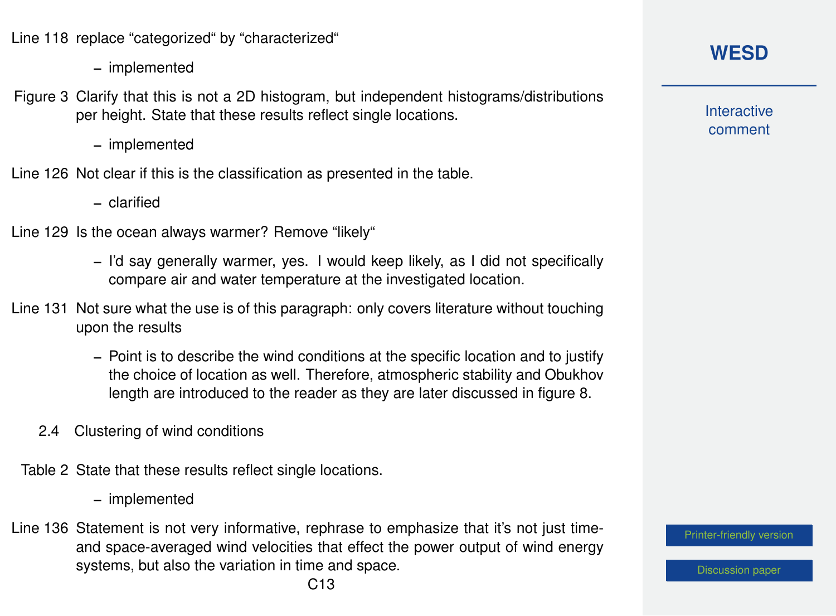Line 118 replace "categorized" by "characterized"

– implemented

- Figure 3 Clarify that this is not a 2D histogram, but independent histograms/distributions per height. State that these results reflect single locations.
	- implemented
- Line 126 Not clear if this is the classification as presented in the table.
	- clarified
- Line 129 Is the ocean always warmer? Remove "likely"
	- I'd say generally warmer, yes. I would keep likely, as I did not specifically compare air and water temperature at the investigated location.
- Line 131 Not sure what the use is of this paragraph: only covers literature without touching upon the results
	- Point is to describe the wind conditions at the specific location and to justify the choice of location as well. Therefore, atmospheric stability and Obukhov length are introduced to the reader as they are later discussed in figure 8.
	- 2.4 Clustering of wind conditions
	- Table 2 State that these results reflect single locations.
		- implemented
- Line 136 Statement is not very informative, rephrase to emphasize that it's not just timeand space-averaged wind velocities that effect the power output of wind energy systems, but also the variation in time and space.

**Interactive** comment

[Printer-friendly version](https://wes.copernicus.org/preprints/wes-2020-120/wes-2020-120-AC1-print.pdf)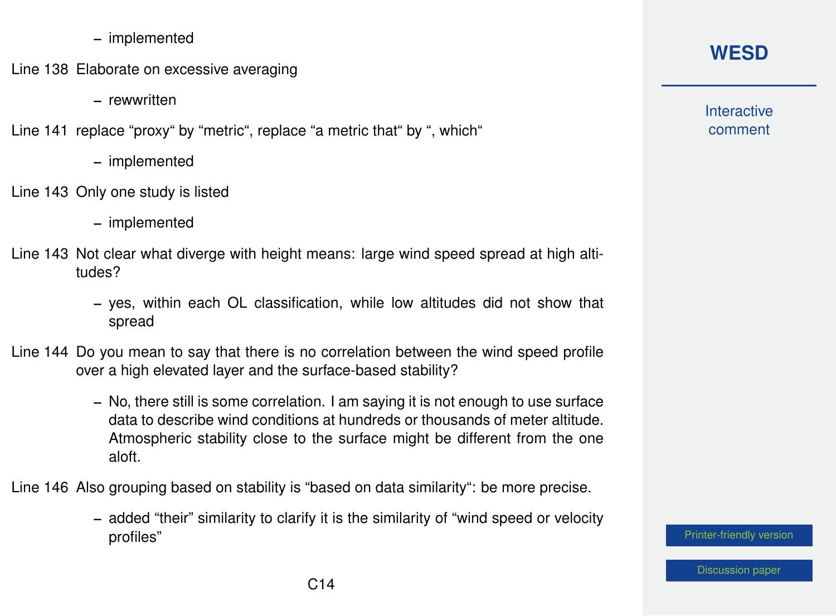- implemented
- Line 138 Elaborate on excessive averaging
	- rewwritten

Line 141 replace "proxy" by "metric", replace "a metric that" by ", which"

- implemented
- Line 143 Only one study is listed
	- implemented
- Line 143 Not clear what diverge with height means: large wind speed spread at high altitudes?
	- yes, within each OL classification, while low altitudes did not show that spread
- Line 144 Do you mean to say that there is no correlation between the wind speed profile over a high elevated layer and the surface-based stability?
	- No, there still is some correlation. I am saying it is not enough to use surface data to describe wind conditions at hundreds or thousands of meter altitude. Atmospheric stability close to the surface might be different from the one aloft.

Line 146 Also grouping based on stability is "based on data similarity": be more precise.

– added "their" similarity to clarify it is the similarity of "wind speed or velocity profiles"

## **[WESD](https://wes.copernicus.org/preprints/)**

**Interactive** comment

[Printer-friendly version](https://wes.copernicus.org/preprints/wes-2020-120/wes-2020-120-AC1-print.pdf)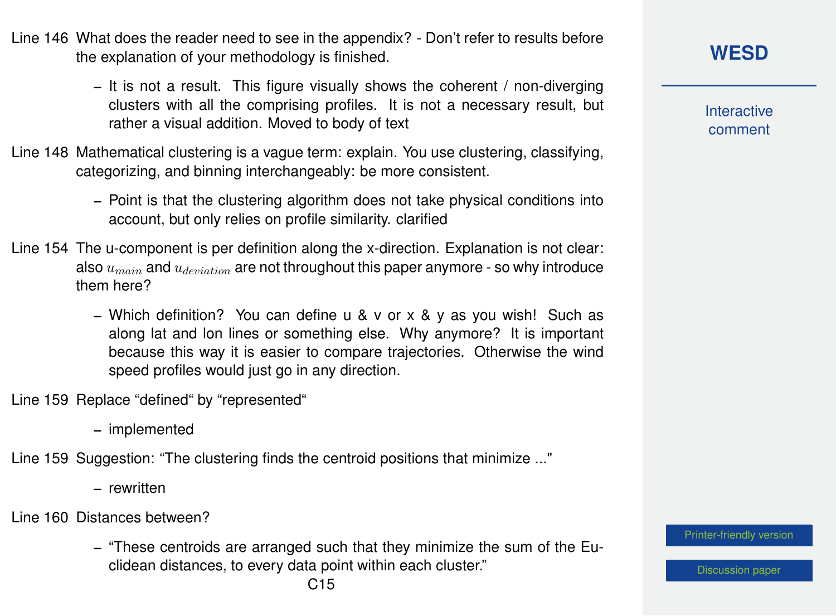C15

- Line 146 What does the reader need to see in the appendix? Don't refer to results before the explanation of your methodology is finished.
	- It is not a result. This figure visually shows the coherent / non-diverging clusters with all the comprising profiles. It is not a necessary result, but rather a visual addition. Moved to body of text
- Line 148 Mathematical clustering is a vague term: explain. You use clustering, classifying, categorizing, and binning interchangeably: be more consistent.
	- Point is that the clustering algorithm does not take physical conditions into account, but only relies on profile similarity. clarified
- Line 154 The u-component is per definition along the x-direction. Explanation is not clear: also  $u_{main}$  and  $u_{deviation}$  are not throughout this paper anymore - so why introduce them here?
	- Which definition? You can define u & v or x & y as you wish! Such as along lat and lon lines or something else. Why anymore? It is important because this way it is easier to compare trajectories. Otherwise the wind speed profiles would just go in any direction.
- Line 159 Replace "defined" by "represented"
	- implemented
- Line 159 Suggestion: "The clustering finds the centroid positions that minimize ..."
	- rewritten
- Line 160 Distances between?
	- "These centroids are arranged such that they minimize the sum of the Euclidean distances, to every data point within each cluster."

#### **[WESD](https://wes.copernicus.org/preprints/)**

**Interactive** comment

[Printer-friendly version](https://wes.copernicus.org/preprints/wes-2020-120/wes-2020-120-AC1-print.pdf)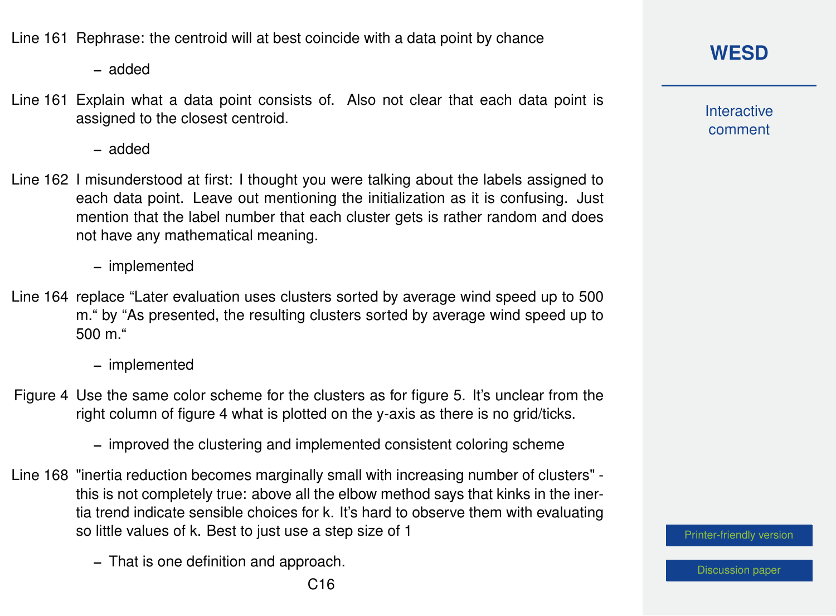Line 161 Rephrase: the centroid will at best coincide with a data point by chance

– added

Line 161 Explain what a data point consists of. Also not clear that each data point is assigned to the closest centroid.

– added

Line 162 I misunderstood at first: I thought you were talking about the labels assigned to each data point. Leave out mentioning the initialization as it is confusing. Just mention that the label number that each cluster gets is rather random and does not have any mathematical meaning.

– implemented

Line 164 replace "Later evaluation uses clusters sorted by average wind speed up to 500 m." by "As presented, the resulting clusters sorted by average wind speed up to 500 m."

– implemented

- Figure 4 Use the same color scheme for the clusters as for figure 5. It's unclear from the right column of figure 4 what is plotted on the y-axis as there is no grid/ticks.
	- improved the clustering and implemented consistent coloring scheme
- Line 168 "inertia reduction becomes marginally small with increasing number of clusters" this is not completely true: above all the elbow method says that kinks in the inertia trend indicate sensible choices for k. It's hard to observe them with evaluating so little values of k. Best to just use a step size of 1
	- That is one definition and approach.

**[WESD](https://wes.copernicus.org/preprints/)**

**Interactive** comment

[Printer-friendly version](https://wes.copernicus.org/preprints/wes-2020-120/wes-2020-120-AC1-print.pdf)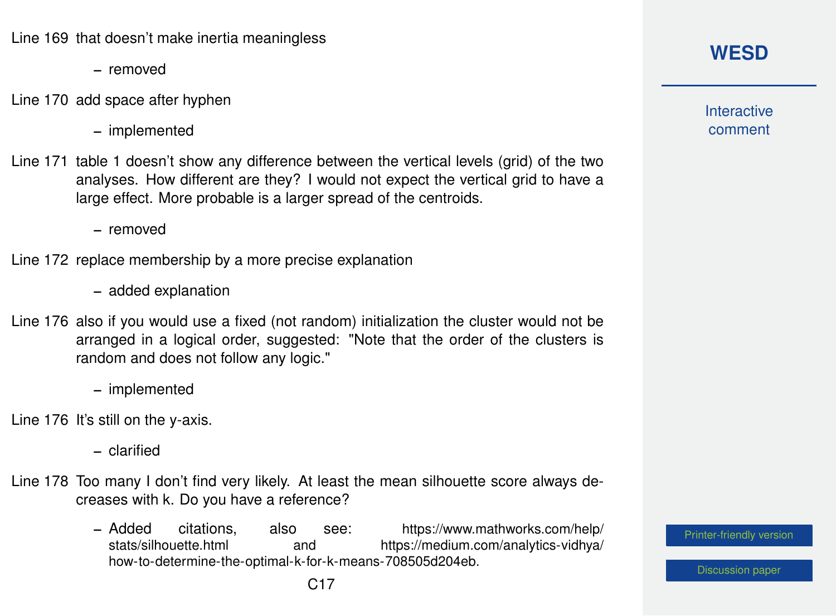Line 169 that doesn't make inertia meaningless

- removed
- Line 170 add space after hyphen
	- implemented
- Line 171 table 1 doesn't show any difference between the vertical levels (grid) of the two analyses. How different are they? I would not expect the vertical grid to have a large effect. More probable is a larger spread of the centroids.

– removed

Line 172 replace membership by a more precise explanation

- added explanation
- Line 176 also if you would use a fixed (not random) initialization the cluster would not be arranged in a logical order, suggested: "Note that the order of the clusters is random and does not follow any logic."
	- implemented
- Line 176 It's still on the y-axis.
	- clarified
- Line 178 Too many I don't find very likely. At least the mean silhouette score always decreases with k. Do you have a reference?
	- Added citations, also see: [https://www.mathworks.com/help/](https://www.mathworks.com/help/stats/silhouette.html) and [https://medium.com/analytics-vidhya/](https://medium.com/analytics-vidhya/how-to-determine-the-optimal-k-for-k-means-708505d204eb) [how-to-determine-the-optimal-k-for-k-means-708505d204eb.](https://medium.com/analytics-vidhya/how-to-determine-the-optimal-k-for-k-means-708505d204eb)

## **[WESD](https://wes.copernicus.org/preprints/)**

**Interactive** comment

[Printer-friendly version](https://wes.copernicus.org/preprints/wes-2020-120/wes-2020-120-AC1-print.pdf)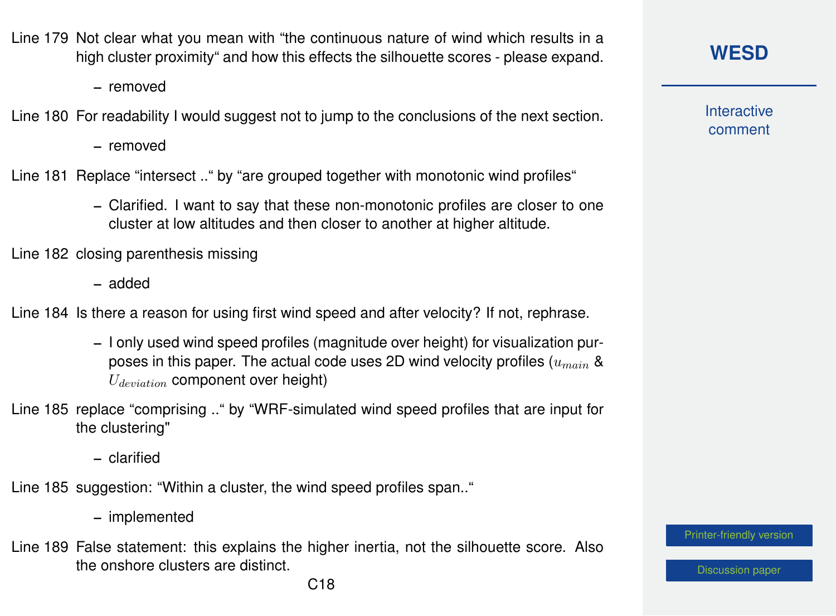- Line 179 Not clear what you mean with "the continuous nature of wind which results in a high cluster proximity" and how this effects the silhouette scores - please expand.
	- removed
- Line 180 For readability I would suggest not to jump to the conclusions of the next section.
	- removed

Line 181 Replace "intersect .." by "are grouped together with monotonic wind profiles"

– Clarified. I want to say that these non-monotonic profiles are closer to one cluster at low altitudes and then closer to another at higher altitude.

Line 182 closing parenthesis missing

– added

Line 184 Is there a reason for using first wind speed and after velocity? If not, rephrase.

- I only used wind speed profiles (magnitude over height) for visualization purposes in this paper. The actual code uses 2D wind velocity profiles  $(u_{main}$  &  $U_{deviation}$  component over height)
- Line 185 replace "comprising .." by "WRF-simulated wind speed profiles that are input for the clustering"
	- clarified

Line 185 suggestion: "Within a cluster, the wind speed profiles span.."

- implemented
- Line 189 False statement: this explains the higher inertia, not the silhouette score. Also the onshore clusters are distinct.

**Interactive** comment

[Printer-friendly version](https://wes.copernicus.org/preprints/wes-2020-120/wes-2020-120-AC1-print.pdf)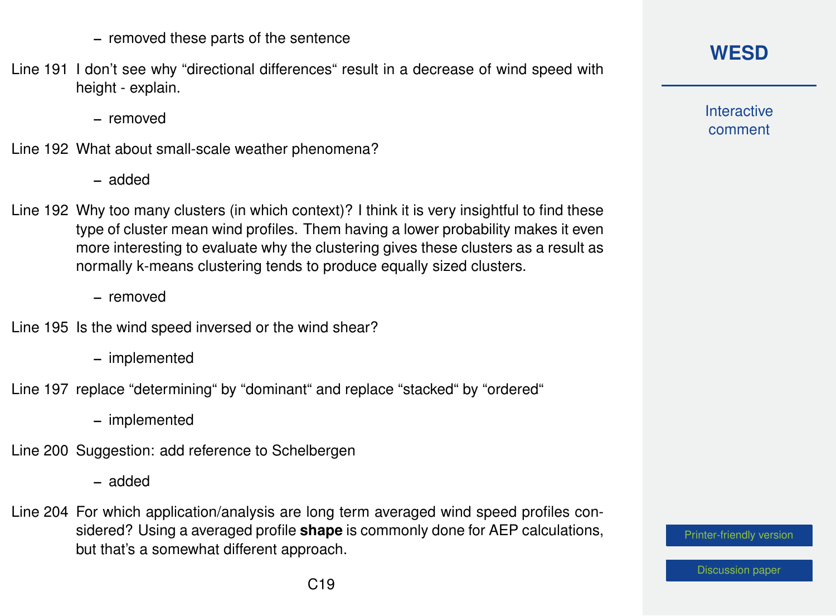- removed these parts of the sentence
- Line 191 I don't see why "directional differences" result in a decrease of wind speed with height - explain.

– removed

- Line 192 What about small-scale weather phenomena?
	- added
- Line 192 Why too many clusters (in which context)? I think it is very insightful to find these type of cluster mean wind profiles. Them having a lower probability makes it even more interesting to evaluate why the clustering gives these clusters as a result as normally k-means clustering tends to produce equally sized clusters.

– removed

- Line 195 Is the wind speed inversed or the wind shear?
	- implemented
- Line 197 replace "determining" by "dominant" and replace "stacked" by "ordered"

– implemented

Line 200 Suggestion: add reference to Schelbergen

– added

Line 204 For which application/analysis are long term averaged wind speed profiles considered? Using a averaged profile **shape** is commonly done for AEP calculations, but that's a somewhat different approach.

**[WESD](https://wes.copernicus.org/preprints/)**

**Interactive** comment

[Printer-friendly version](https://wes.copernicus.org/preprints/wes-2020-120/wes-2020-120-AC1-print.pdf)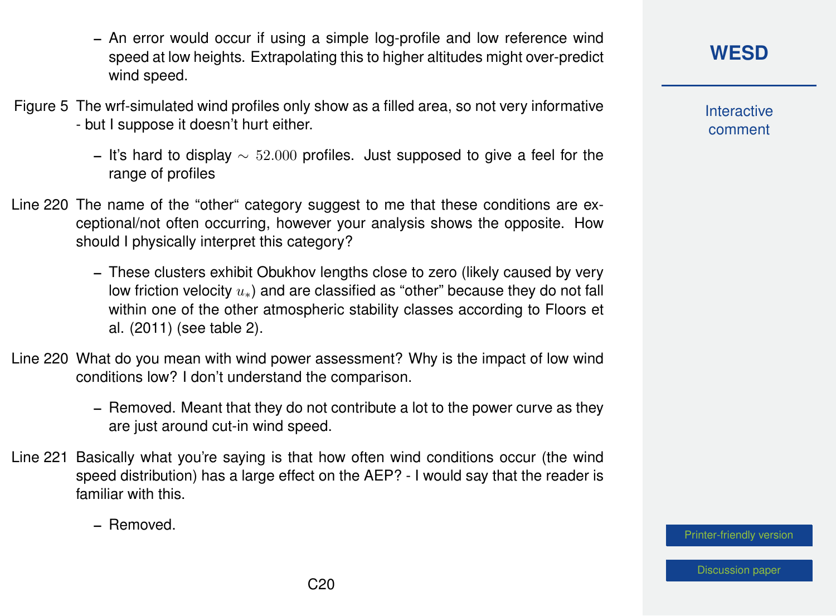- An error would occur if using a simple log-profile and low reference wind speed at low heights. Extrapolating this to higher altitudes might over-predict wind speed.
- Figure 5 The wrf-simulated wind profiles only show as a filled area, so not very informative - but I suppose it doesn't hurt either.
	- It's hard to display  $\sim 52.000$  profiles. Just supposed to give a feel for the range of profiles
- Line 220 The name of the "other" category suggest to me that these conditions are exceptional/not often occurring, however your analysis shows the opposite. How should I physically interpret this category?
	- These clusters exhibit Obukhov lengths close to zero (likely caused by very low friction velocity  $u_*$ ) and are classified as "other" because they do not fall within one of the other atmospheric stability classes according to Floors et al. (2011) (see table 2).
- Line 220 What do you mean with wind power assessment? Why is the impact of low wind conditions low? I don't understand the comparison.
	- Removed. Meant that they do not contribute a lot to the power curve as they are just around cut-in wind speed.
- Line 221 Basically what you're saying is that how often wind conditions occur (the wind speed distribution) has a large effect on the AEP? - I would say that the reader is familiar with this.
	- Removed.

**[WESD](https://wes.copernicus.org/preprints/)**

**Interactive** comment

[Printer-friendly version](https://wes.copernicus.org/preprints/wes-2020-120/wes-2020-120-AC1-print.pdf)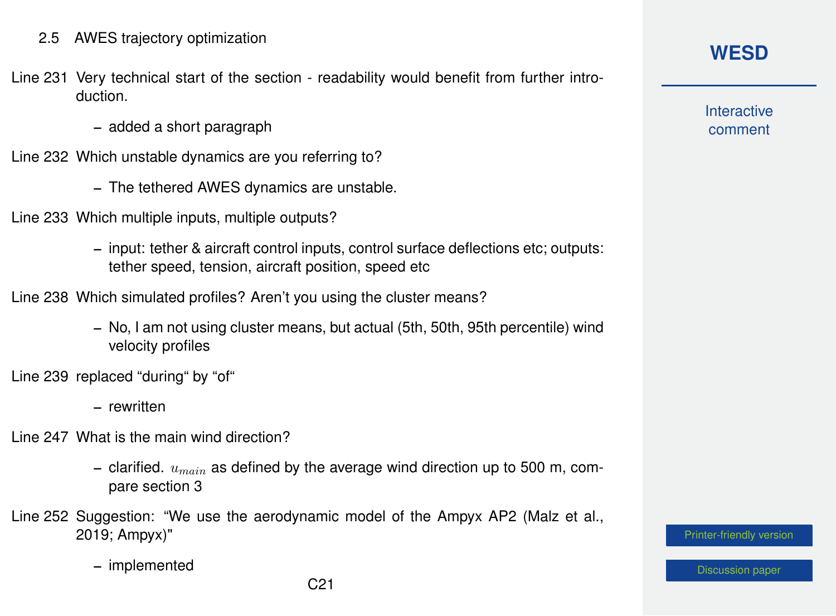- Line 231 Very technical start of the section readability would benefit from further introduction.
	- added a short paragraph
- Line 232 Which unstable dynamics are you referring to?
	- The tethered AWES dynamics are unstable.
- Line 233 Which multiple inputs, multiple outputs?
	- input: tether & aircraft control inputs, control surface deflections etc; outputs: tether speed, tension, aircraft position, speed etc
- Line 238 Which simulated profiles? Aren't you using the cluster means?
	- No, I am not using cluster means, but actual (5th, 50th, 95th percentile) wind velocity profiles
- Line 239 replaced "during" by "of"
	- rewritten
- Line 247 What is the main wind direction?
	- clarified.  $u_{\text{main}}$  as defined by the average wind direction up to 500 m, compare section 3
- Line 252 Suggestion: "We use the aerodynamic model of the Ampyx AP2 (Malz et al., 2019; Ampyx)"
	- implemented

#### **[WESD](https://wes.copernicus.org/preprints/)**

**Interactive** comment

[Printer-friendly version](https://wes.copernicus.org/preprints/wes-2020-120/wes-2020-120-AC1-print.pdf)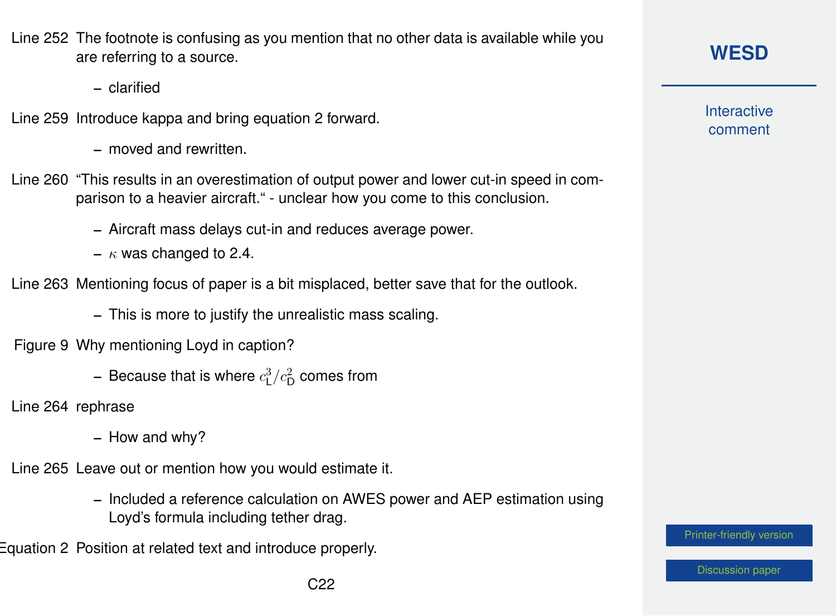Line 252 The footnote is confusing as you mention that no other data is available while you are referring to a source.

– clarified

- Line 259 Introduce kappa and bring equation 2 forward.
	- moved and rewritten.
- Line 260 "This results in an overestimation of output power and lower cut-in speed in comparison to a heavier aircraft." - unclear how you come to this conclusion.
	- Aircraft mass delays cut-in and reduces average power.
	- $\kappa$  was changed to 2.4.
- Line 263 Mentioning focus of paper is a bit misplaced, better save that for the outlook.
	- This is more to justify the unrealistic mass scaling.
- Figure 9 Why mentioning Loyd in caption?
	- Because that is where  $c_{\mathsf{L}}^3/c_{\mathsf{D}}^2$  comes from
- Line 264 rephrase
	- How and why?
- Line 265 Leave out or mention how you would estimate it.
	- Included a reference calculation on AWES power and AEP estimation using Loyd's formula including tether drag.

Equation 2 Position at related text and introduce properly.

**Interactive** comment

[Printer-friendly version](https://wes.copernicus.org/preprints/wes-2020-120/wes-2020-120-AC1-print.pdf)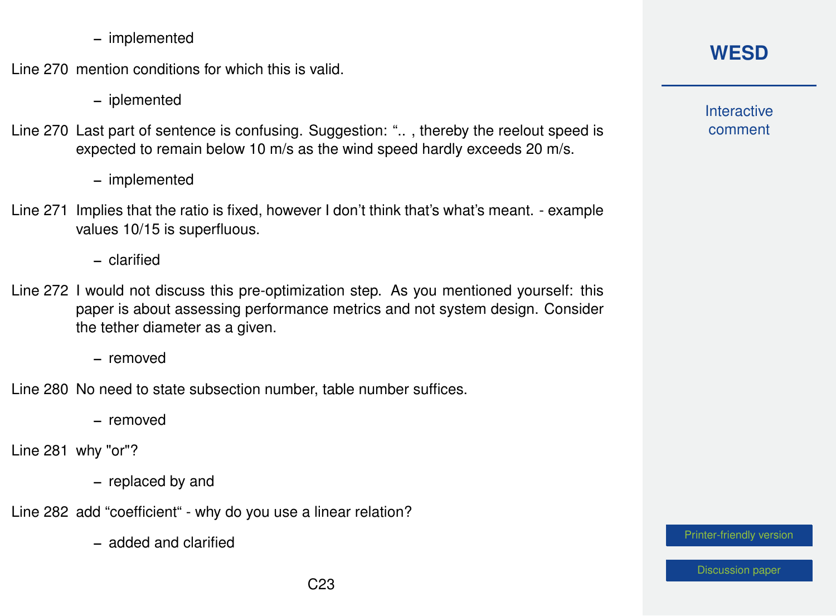– implemented

Line 270 mention conditions for which this is valid.

– iplemented

Line 270 Last part of sentence is confusing. Suggestion: ".. , thereby the reelout speed is expected to remain below 10 m/s as the wind speed hardly exceeds 20 m/s.

– implemented

Line 271 Implies that the ratio is fixed, however I don't think that's what's meant. - example values 10/15 is superfluous.

– clarified

Line 272 I would not discuss this pre-optimization step. As you mentioned yourself: this paper is about assessing performance metrics and not system design. Consider the tether diameter as a given.

– removed

Line 280 No need to state subsection number, table number suffices.

– removed

Line 281 why "or"?

– replaced by and

Line 282 add "coefficient" - why do you use a linear relation?

– added and clarified

## **[WESD](https://wes.copernicus.org/preprints/)**

**Interactive** comment

[Printer-friendly version](https://wes.copernicus.org/preprints/wes-2020-120/wes-2020-120-AC1-print.pdf)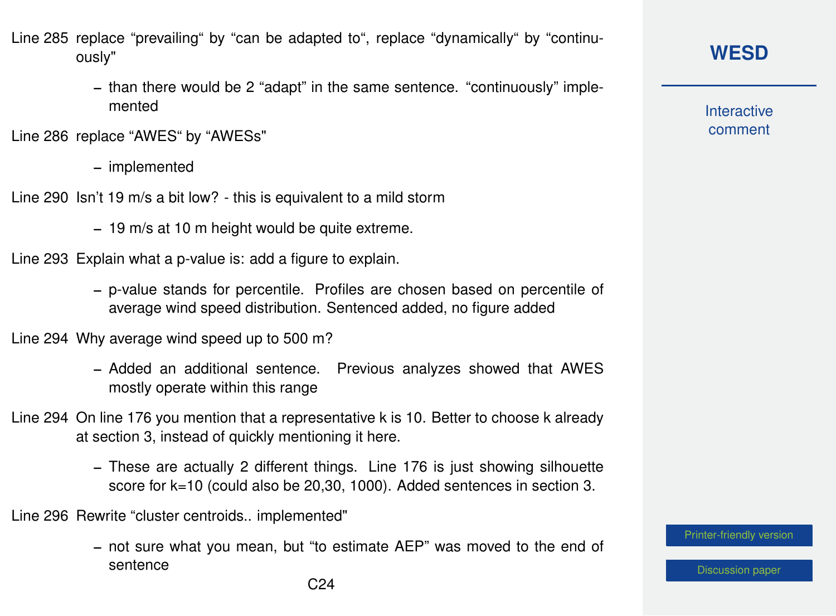Line 285 replace "prevailing" by "can be adapted to", replace "dynamically" by "continuously"

> – than there would be 2 "adapt" in the same sentence. "continuously" implemented

Line 286 replace "AWES" by "AWESs"

– implemented

Line 290 Isn't 19 m/s a bit low? - this is equivalent to a mild storm

– 19 m/s at 10 m height would be quite extreme.

Line 293 Explain what a p-value is: add a figure to explain.

– p-value stands for percentile. Profiles are chosen based on percentile of average wind speed distribution. Sentenced added, no figure added

Line 294 Why average wind speed up to 500 m?

- Added an additional sentence. Previous analyzes showed that AWES mostly operate within this range
- Line 294 On line 176 you mention that a representative k is 10. Better to choose k already at section 3, instead of quickly mentioning it here.
	- These are actually 2 different things. Line 176 is just showing silhouette score for k=10 (could also be 20,30, 1000). Added sentences in section 3.

Line 296 Rewrite "cluster centroids.. implemented"

– not sure what you mean, but "to estimate AEP" was moved to the end of sentence

[Printer-friendly version](https://wes.copernicus.org/preprints/wes-2020-120/wes-2020-120-AC1-print.pdf)

**[WESD](https://wes.copernicus.org/preprints/)**

**Interactive** comment

C24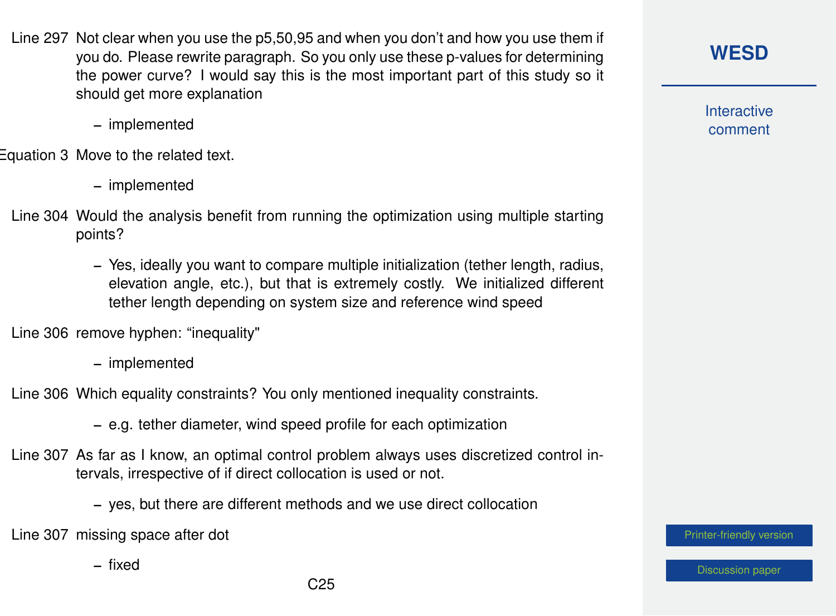- Line 297 Not clear when you use the p5,50,95 and when you don't and how you use them if you do. Please rewrite paragraph. So you only use these p-values for determining the power curve? I would say this is the most important part of this study so it should get more explanation
	- implemented

Equation 3 Move to the related text.

- implemented
- Line 304 Would the analysis benefit from running the optimization using multiple starting points?
	- Yes, ideally you want to compare multiple initialization (tether length, radius, elevation angle, etc.), but that is extremely costly. We initialized different tether length depending on system size and reference wind speed

Line 306 remove hyphen: "inequality"

– implemented

Line 306 Which equality constraints? You only mentioned inequality constraints.

– e.g. tether diameter, wind speed profile for each optimization

- Line 307 As far as I know, an optimal control problem always uses discretized control intervals, irrespective of if direct collocation is used or not.
	- yes, but there are different methods and we use direct collocation

Line 307 missing space after dot

– fixed

**[WESD](https://wes.copernicus.org/preprints/)**

**Interactive** comment

[Printer-friendly version](https://wes.copernicus.org/preprints/wes-2020-120/wes-2020-120-AC1-print.pdf)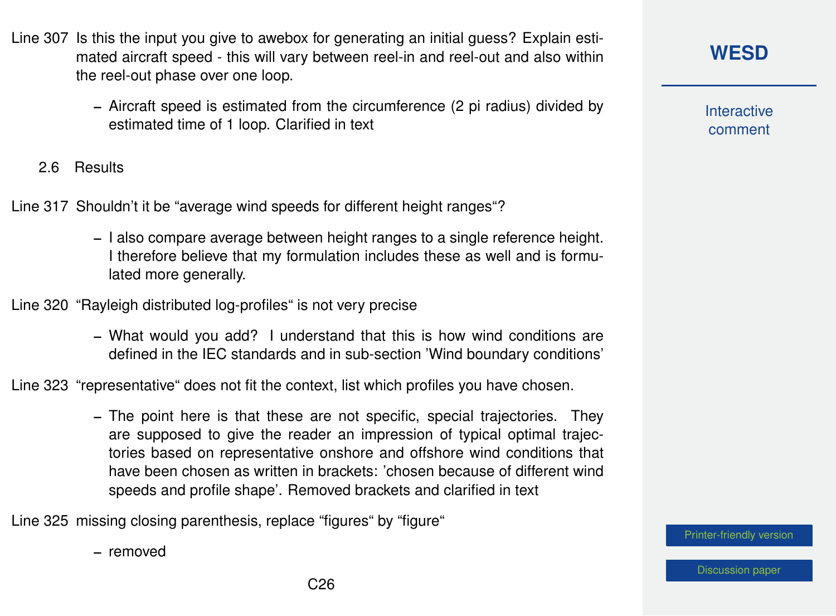- Line 307 Is this the input you give to awebox for generating an initial guess? Explain estimated aircraft speed - this will vary between reel-in and reel-out and also within the reel-out phase over one loop.
	- Aircraft speed is estimated from the circumference (2 pi radius) divided by estimated time of 1 loop. Clarified in text
	- 2.6 Results

Line 317 Shouldn't it be "average wind speeds for different height ranges"?

- I also compare average between height ranges to a single reference height. I therefore believe that my formulation includes these as well and is formulated more generally.
- Line 320 "Rayleigh distributed log-profiles" is not very precise
	- What would you add? I understand that this is how wind conditions are defined in the IEC standards and in sub-section 'Wind boundary conditions'

Line 323 "representative" does not fit the context, list which profiles you have chosen.

– The point here is that these are not specific, special trajectories. They are supposed to give the reader an impression of typical optimal trajectories based on representative onshore and offshore wind conditions that have been chosen as written in brackets: 'chosen because of different wind speeds and profile shape'. Removed brackets and clarified in text

Line 325 missing closing parenthesis, replace "figures" by "figure"

– removed

**Interactive** comment

[Printer-friendly version](https://wes.copernicus.org/preprints/wes-2020-120/wes-2020-120-AC1-print.pdf)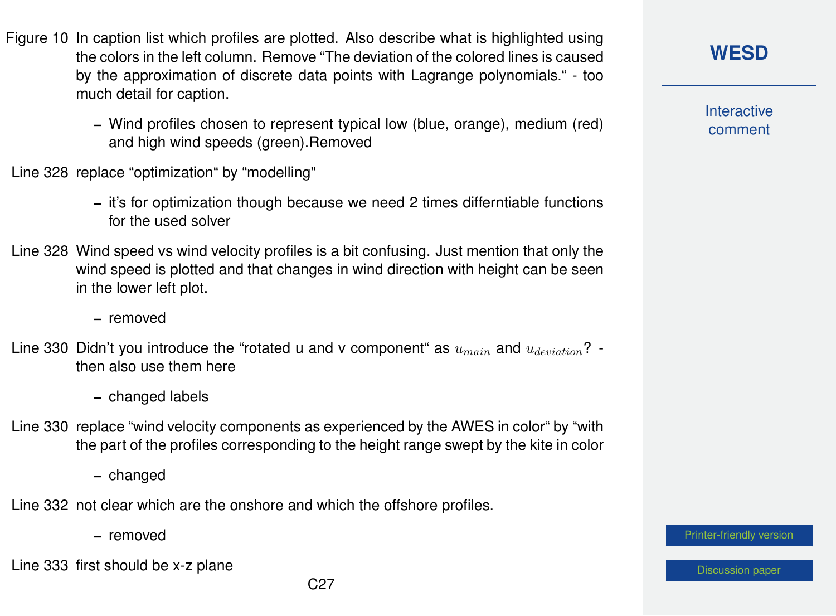- Figure 10 In caption list which profiles are plotted. Also describe what is highlighted using the colors in the left column. Remove "The deviation of the colored lines is caused by the approximation of discrete data points with Lagrange polynomials." - too much detail for caption.
	- Wind profiles chosen to represent typical low (blue, orange), medium (red) and high wind speeds (green).Removed
- Line 328 replace "optimization" by "modelling"
	- it's for optimization though because we need 2 times differntiable functions for the used solver
- Line 328 Wind speed vs wind velocity profiles is a bit confusing. Just mention that only the wind speed is plotted and that changes in wind direction with height can be seen in the lower left plot.
	- removed
- Line 330 Didn't you introduce the "rotated u and v component" as  $u_{main}$  and  $u_{deviation}$ ? then also use them here
	- changed labels
- Line 330 replace "wind velocity components as experienced by the AWES in color" by "with the part of the profiles corresponding to the height range swept by the kite in color

– changed

Line 332 not clear which are the onshore and which the offshore profiles.

– removed

Line 333 first should be x-z plane

**Interactive** comment

[Printer-friendly version](https://wes.copernicus.org/preprints/wes-2020-120/wes-2020-120-AC1-print.pdf)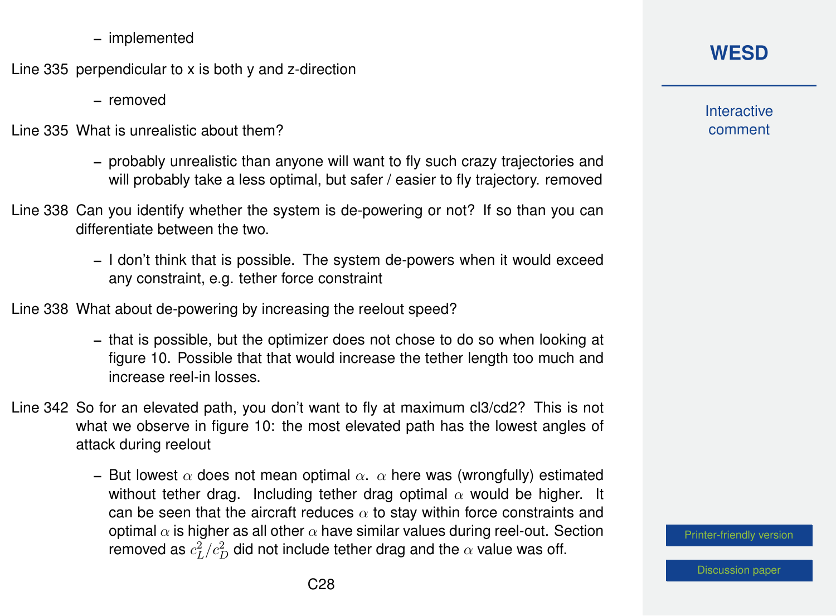– implemented

Line 335 perpendicular to x is both y and z-direction

– removed

Line 335 What is unrealistic about them?

- probably unrealistic than anyone will want to fly such crazy trajectories and will probably take a less optimal, but safer / easier to fly trajectory. removed
- Line 338 Can you identify whether the system is de-powering or not? If so than you can differentiate between the two.
	- I don't think that is possible. The system de-powers when it would exceed any constraint, e.g. tether force constraint

Line 338 What about de-powering by increasing the reelout speed?

- that is possible, but the optimizer does not chose to do so when looking at figure 10. Possible that that would increase the tether length too much and increase reel-in losses.
- Line 342 So for an elevated path, you don't want to fly at maximum cl3/cd2? This is not what we observe in figure 10: the most elevated path has the lowest angles of attack during reelout
	- But lowest  $\alpha$  does not mean optimal  $\alpha$ .  $\alpha$  here was (wrongfully) estimated without tether drag. Including tether drag optimal  $\alpha$  would be higher. It can be seen that the aircraft reduces  $\alpha$  to stay within force constraints and optimal  $\alpha$  is higher as all other  $\alpha$  have similar values during reel-out. Section removed as  $c_L^2/c_D^2$  did not include tether drag and the  $\alpha$  value was off.

**Interactive** comment

[Printer-friendly version](https://wes.copernicus.org/preprints/wes-2020-120/wes-2020-120-AC1-print.pdf)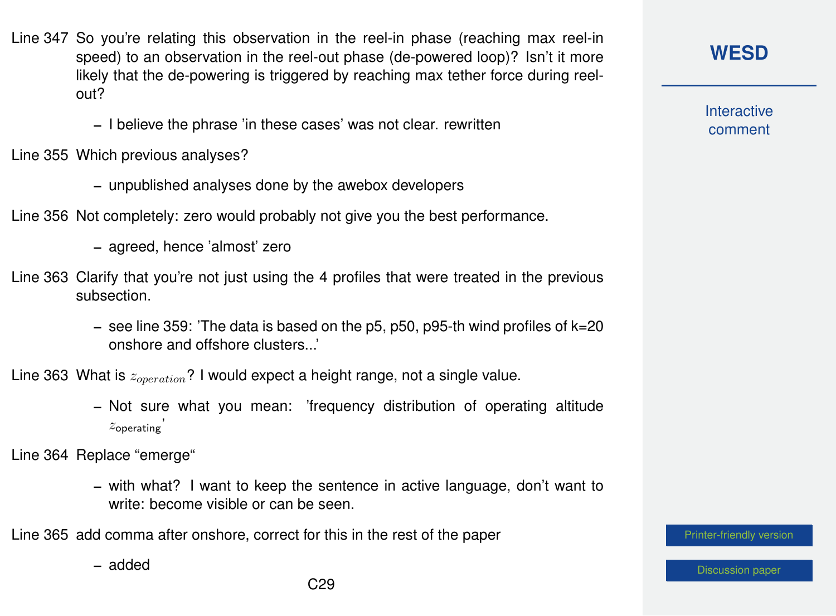- Line 347 So you're relating this observation in the reel-in phase (reaching max reel-in speed) to an observation in the reel-out phase (de-powered loop)? Isn't it more likely that the de-powering is triggered by reaching max tether force during reelout?
	- I believe the phrase 'in these cases' was not clear. rewritten

Line 355 Which previous analyses?

- unpublished analyses done by the awebox developers
- Line 356 Not completely: zero would probably not give you the best performance.
	- agreed, hence 'almost' zero
- Line 363 Clarify that you're not just using the 4 profiles that were treated in the previous subsection.
	- see line 359: 'The data is based on the p5, p50, p95-th wind profiles of k=20 onshore and offshore clusters...'

Line 363 What is  $z_{operation}$ ? I would expect a height range, not a single value.

– Not sure what you mean: 'frequency distribution of operating altitude  $z$ operating

Line 364 Replace "emerge"

– with what? I want to keep the sentence in active language, don't want to write: become visible or can be seen.

Line 365 add comma after onshore, correct for this in the rest of the paper

– added

**[WESD](https://wes.copernicus.org/preprints/)**

**Interactive** comment

[Printer-friendly version](https://wes.copernicus.org/preprints/wes-2020-120/wes-2020-120-AC1-print.pdf)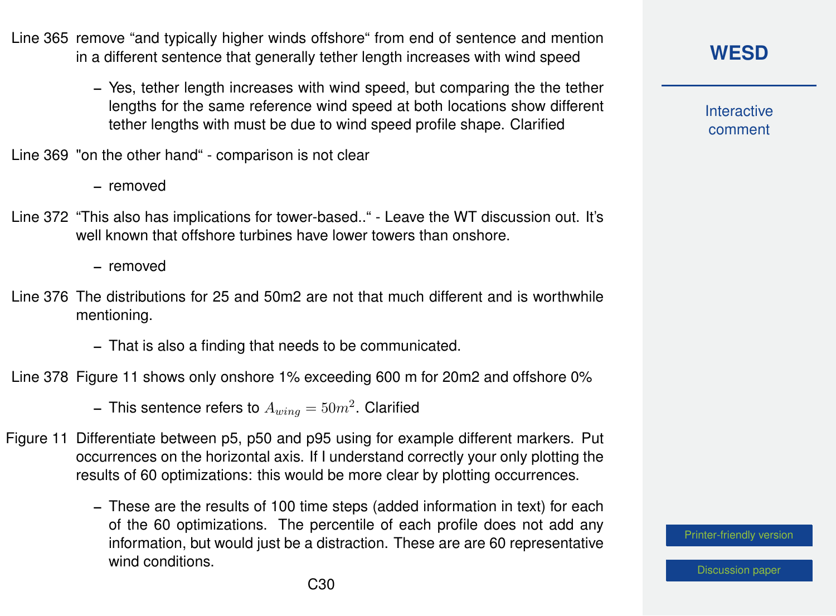- Line 365 remove "and typically higher winds offshore" from end of sentence and mention in a different sentence that generally tether length increases with wind speed
	- Yes, tether length increases with wind speed, but comparing the the tether lengths for the same reference wind speed at both locations show different tether lengths with must be due to wind speed profile shape. Clarified

Line 369 "on the other hand" - comparison is not clear

– removed

- Line 372 "This also has implications for tower-based.." Leave the WT discussion out. It's well known that offshore turbines have lower towers than onshore.
	- removed
- Line 376 The distributions for 25 and 50m2 are not that much different and is worthwhile mentioning.
	- That is also a finding that needs to be communicated.

Line 378 Figure 11 shows only onshore 1% exceeding 600 m for 20m2 and offshore 0%

- This sentence refers to  $A_{wing} = 50 m^2$ . Clarified

- Figure 11 Differentiate between p5, p50 and p95 using for example different markers. Put occurrences on the horizontal axis. If I understand correctly your only plotting the results of 60 optimizations: this would be more clear by plotting occurrences.
	- These are the results of 100 time steps (added information in text) for each of the 60 optimizations. The percentile of each profile does not add any information, but would just be a distraction. These are are 60 representative wind conditions.

**Interactive** comment

[Printer-friendly version](https://wes.copernicus.org/preprints/wes-2020-120/wes-2020-120-AC1-print.pdf)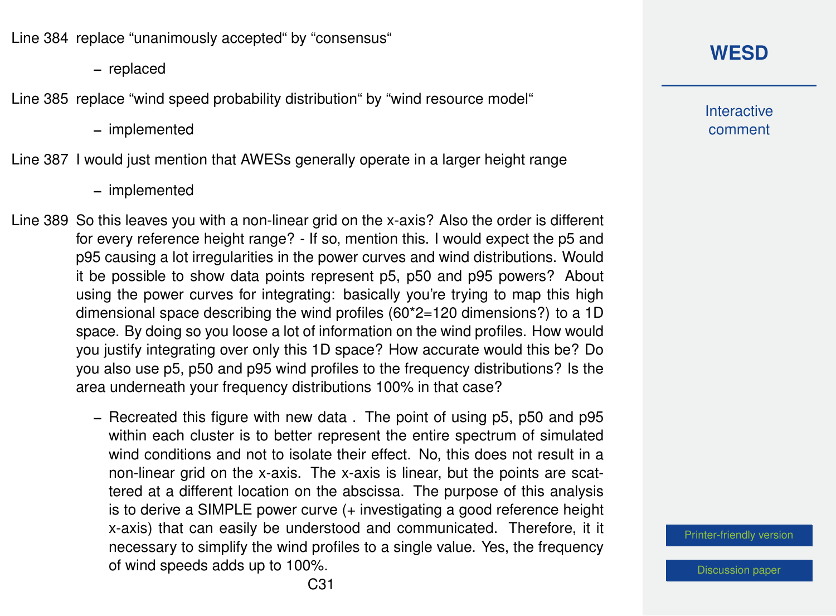Line 384 replace "unanimously accepted" by "consensus"

– replaced

Line 385 replace "wind speed probability distribution" by "wind resource model"

– implemented

Line 387 I would just mention that AWESs generally operate in a larger height range

– implemented

Line 389 So this leaves you with a non-linear grid on the x-axis? Also the order is different for every reference height range? - If so, mention this. I would expect the p5 and p95 causing a lot irregularities in the power curves and wind distributions. Would it be possible to show data points represent p5, p50 and p95 powers? About using the power curves for integrating: basically you're trying to map this high dimensional space describing the wind profiles (60\*2=120 dimensions?) to a 1D space. By doing so you loose a lot of information on the wind profiles. How would you justify integrating over only this 1D space? How accurate would this be? Do you also use p5, p50 and p95 wind profiles to the frequency distributions? Is the area underneath your frequency distributions 100% in that case?

> – Recreated this figure with new data . The point of using p5, p50 and p95 within each cluster is to better represent the entire spectrum of simulated wind conditions and not to isolate their effect. No, this does not result in a non-linear grid on the x-axis. The x-axis is linear, but the points are scattered at a different location on the abscissa. The purpose of this analysis is to derive a SIMPLE power curve (+ investigating a good reference height x-axis) that can easily be understood and communicated. Therefore, it it necessary to simplify the wind profiles to a single value. Yes, the frequency of wind speeds adds up to 100%.

#### **[WESD](https://wes.copernicus.org/preprints/)**

**Interactive** comment

[Printer-friendly version](https://wes.copernicus.org/preprints/wes-2020-120/wes-2020-120-AC1-print.pdf)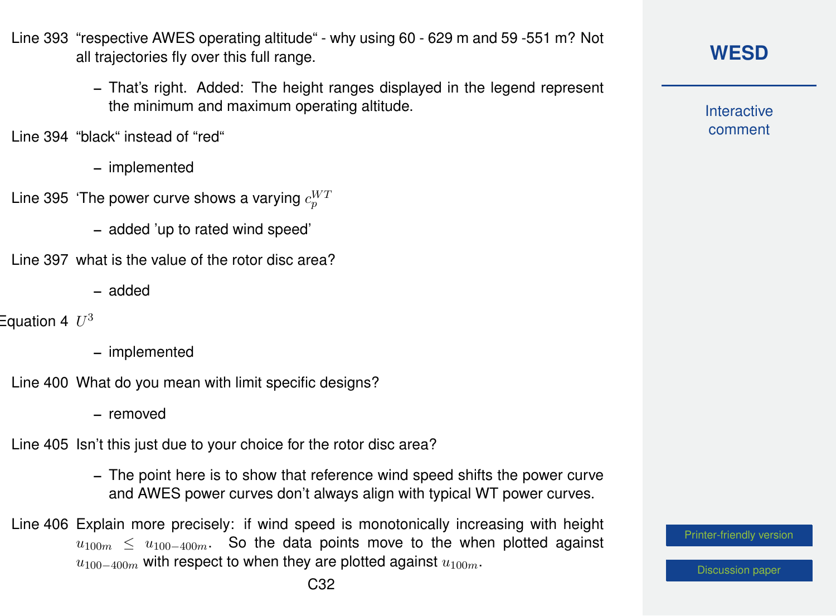- Line 393 "respective AWES operating altitude" why using 60 629 m and 59 -551 m? Not all trajectories fly over this full range.
	- That's right. Added: The height ranges displayed in the legend represent the minimum and maximum operating altitude.

Line 394 "black" instead of "red"

- implemented
- Line 395 'The power curve shows a varying  $c_{p}^{W^{\mathcal{I}}}$ 
	- added 'up to rated wind speed'
- Line 397 what is the value of the rotor disc area?
	- added

Equation 4  $~U^3$ 

- implemented
- Line 400 What do you mean with limit specific designs?
	- removed
- Line 405 Isn't this just due to your choice for the rotor disc area?
	- The point here is to show that reference wind speed shifts the power curve and AWES power curves don't always align with typical WT power curves.
- Line 406 Explain more precisely: if wind speed is monotonically increasing with height  $u_{100m}$  <  $u_{100-400m}$ . So the data points move to the when plotted against  $u_{100-400m}$  with respect to when they are plotted against  $u_{100m}$ .

[Printer-friendly version](https://wes.copernicus.org/preprints/wes-2020-120/wes-2020-120-AC1-print.pdf)

**Interactive** comment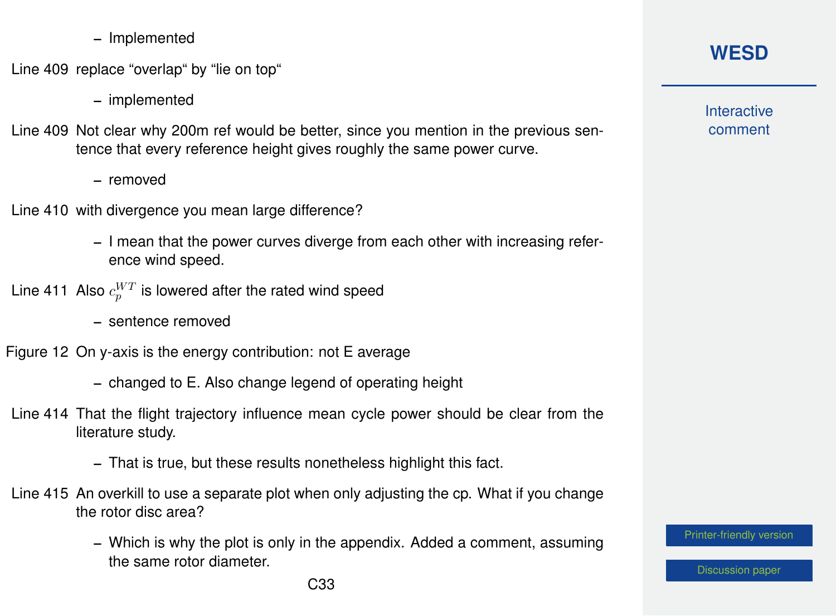– Implemented

Line 409 replace "overlap" by "lie on top"

- implemented
- Line 409 Not clear why 200m ref would be better, since you mention in the previous sentence that every reference height gives roughly the same power curve.
	- removed
- Line 410 with divergence you mean large difference?
	- I mean that the power curves diverge from each other with increasing reference wind speed.
- Line 411 Also  $c_{p}^{WT}$  is lowered after the rated wind speed
	- sentence removed
- Figure 12 On y-axis is the energy contribution: not E average
	- changed to E. Also change legend of operating height
- Line 414 That the flight trajectory influence mean cycle power should be clear from the literature study.
	- That is true, but these results nonetheless highlight this fact.
- Line 415 An overkill to use a separate plot when only adjusting the cp. What if you change the rotor disc area?
	- Which is why the plot is only in the appendix. Added a comment, assuming the same rotor diameter.

#### **[WESD](https://wes.copernicus.org/preprints/)**

**Interactive** comment

[Printer-friendly version](https://wes.copernicus.org/preprints/wes-2020-120/wes-2020-120-AC1-print.pdf)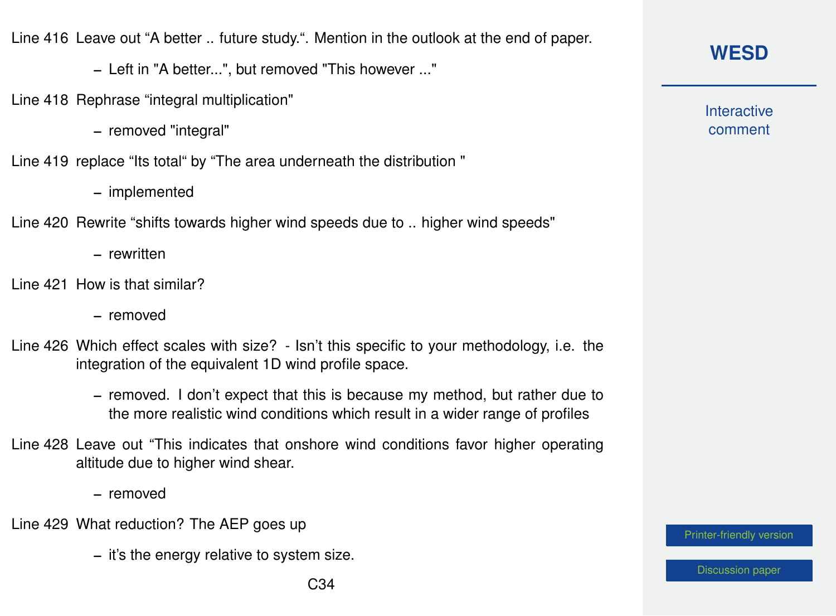Line 416 Leave out "A better .. future study.". Mention in the outlook at the end of paper.

– Left in "A better...", but removed "This however ..."

- Line 418 Rephrase "integral multiplication"
	- removed "integral"
- Line 419 replace "Its total" by "The area underneath the distribution "
	- implemented
- Line 420 Rewrite "shifts towards higher wind speeds due to .. higher wind speeds"
	- rewritten
- Line 421 How is that similar?
	- removed
- Line 426 Which effect scales with size? Isn't this specific to your methodology, i.e. the integration of the equivalent 1D wind profile space.
	- removed. I don't expect that this is because my method, but rather due to the more realistic wind conditions which result in a wider range of profiles
- Line 428 Leave out "This indicates that onshore wind conditions favor higher operating altitude due to higher wind shear.
	- removed
- Line 429 What reduction? The AEP goes up
	- it's the energy relative to system size.

## **[WESD](https://wes.copernicus.org/preprints/)**

**Interactive** comment

[Printer-friendly version](https://wes.copernicus.org/preprints/wes-2020-120/wes-2020-120-AC1-print.pdf)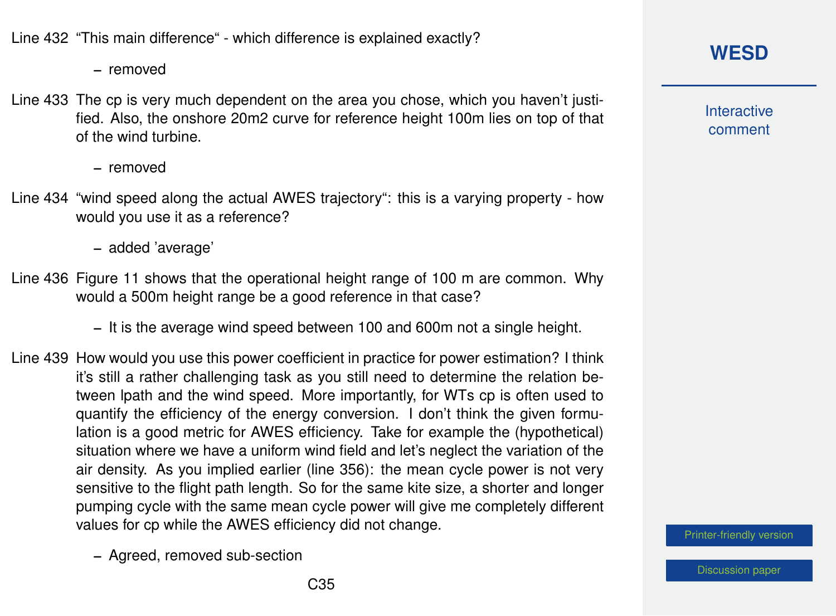Line 432 "This main difference" - which difference is explained exactly?

– removed

Line 433 The cp is very much dependent on the area you chose, which you haven't justified. Also, the onshore 20m2 curve for reference height 100m lies on top of that of the wind turbine.

– removed

Line 434 "wind speed along the actual AWES trajectory": this is a varying property - how would you use it as a reference?

– added 'average'

Line 436 Figure 11 shows that the operational height range of 100 m are common. Why would a 500m height range be a good reference in that case?

– It is the average wind speed between 100 and 600m not a single height.

Line 439 How would you use this power coefficient in practice for power estimation? I think it's still a rather challenging task as you still need to determine the relation between lpath and the wind speed. More importantly, for WTs cp is often used to quantify the efficiency of the energy conversion. I don't think the given formulation is a good metric for AWES efficiency. Take for example the (hypothetical) situation where we have a uniform wind field and let's neglect the variation of the air density. As you implied earlier (line 356): the mean cycle power is not very sensitive to the flight path length. So for the same kite size, a shorter and longer pumping cycle with the same mean cycle power will give me completely different values for cp while the AWES efficiency did not change.

– Agreed, removed sub-section

**Interactive** comment

[Printer-friendly version](https://wes.copernicus.org/preprints/wes-2020-120/wes-2020-120-AC1-print.pdf)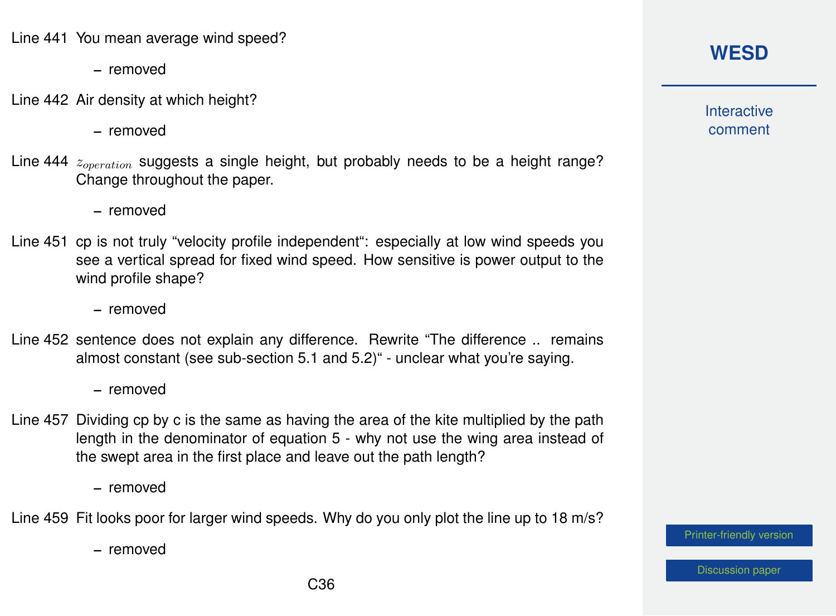Line 441 You mean average wind speed?

- removed
- Line 442 Air density at which height?
	- removed
- Line 444  $z_{operation}$  suggests a single height, but probably needs to be a height range? Change throughout the paper.
	- removed
- Line 451 cp is not truly "velocity profile independent": especially at low wind speeds you see a vertical spread for fixed wind speed. How sensitive is power output to the wind profile shape?
	- removed
- Line 452 sentence does not explain any difference. Rewrite "The difference .. remains almost constant (see sub-section 5.1 and 5.2)" - unclear what you're saying.
	- removed
- Line 457 Dividing cp by c is the same as having the area of the kite multiplied by the path length in the denominator of equation 5 - why not use the wing area instead of the swept area in the first place and leave out the path length?
	- removed

Line 459 Fit looks poor for larger wind speeds. Why do you only plot the line up to 18 m/s?

– removed

#### **[WESD](https://wes.copernicus.org/preprints/)**

**Interactive** comment

[Printer-friendly version](https://wes.copernicus.org/preprints/wes-2020-120/wes-2020-120-AC1-print.pdf)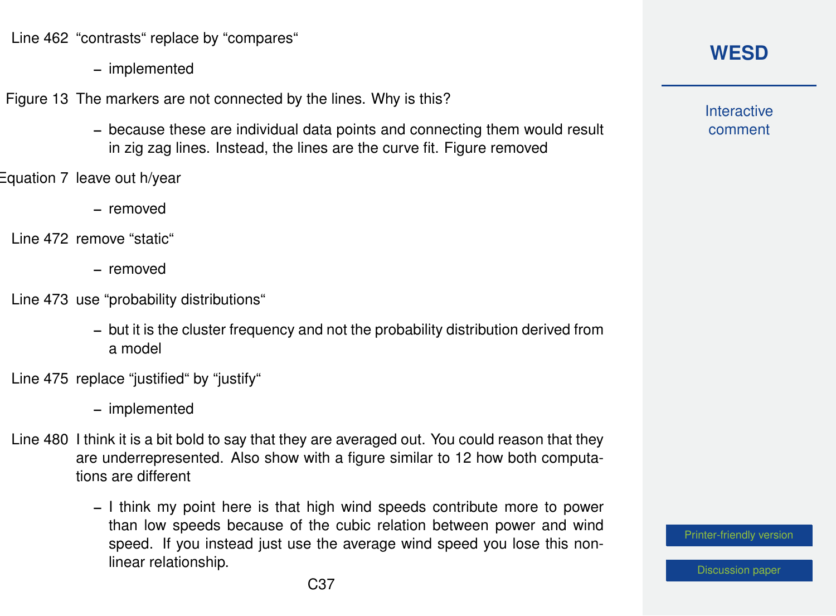Line 462 "contrasts" replace by "compares"

– implemented

Figure 13 The markers are not connected by the lines. Why is this?

- because these are individual data points and connecting them would result in zig zag lines. Instead, the lines are the curve fit. Figure removed
- Equation 7 leave out h/year
	- removed
	- Line 472 remove "static"
		- removed
	- Line 473 use "probability distributions"
		- but it is the cluster frequency and not the probability distribution derived from a model
	- Line 475 replace "justified" by "justify"
		- implemented
	- Line 480 I think it is a bit bold to say that they are averaged out. You could reason that they are underrepresented. Also show with a figure similar to 12 how both computations are different
		- I think my point here is that high wind speeds contribute more to power than low speeds because of the cubic relation between power and wind speed. If you instead just use the average wind speed you lose this nonlinear relationship.

**Interactive** comment

[Printer-friendly version](https://wes.copernicus.org/preprints/wes-2020-120/wes-2020-120-AC1-print.pdf)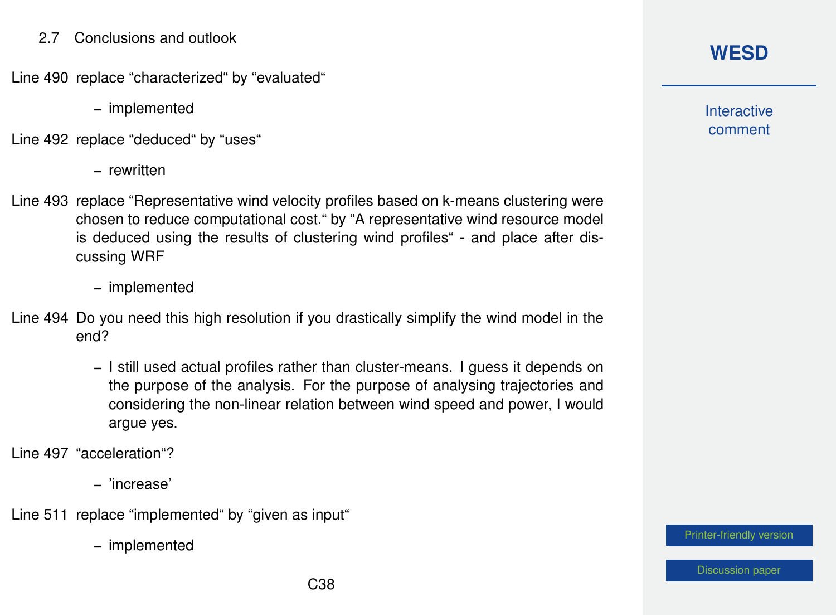#### 2.7 Conclusions and outlook

Line 490 replace "characterized" by "evaluated"

– implemented

Line 492 replace "deduced" by "uses"

– rewritten

Line 493 replace "Representative wind velocity profiles based on k-means clustering were chosen to reduce computational cost." by "A representative wind resource model is deduced using the results of clustering wind profiles" - and place after discussing WRF

– implemented

- Line 494 Do you need this high resolution if you drastically simplify the wind model in the end?
	- I still used actual profiles rather than cluster-means. I guess it depends on the purpose of the analysis. For the purpose of analysing trajectories and considering the non-linear relation between wind speed and power, I would argue yes.

Line 497 "acceleration"?

– 'increase'

Line 511 replace "implemented" by "given as input"

– implemented

**[WESD](https://wes.copernicus.org/preprints/)**

**Interactive** comment

[Printer-friendly version](https://wes.copernicus.org/preprints/wes-2020-120/wes-2020-120-AC1-print.pdf)